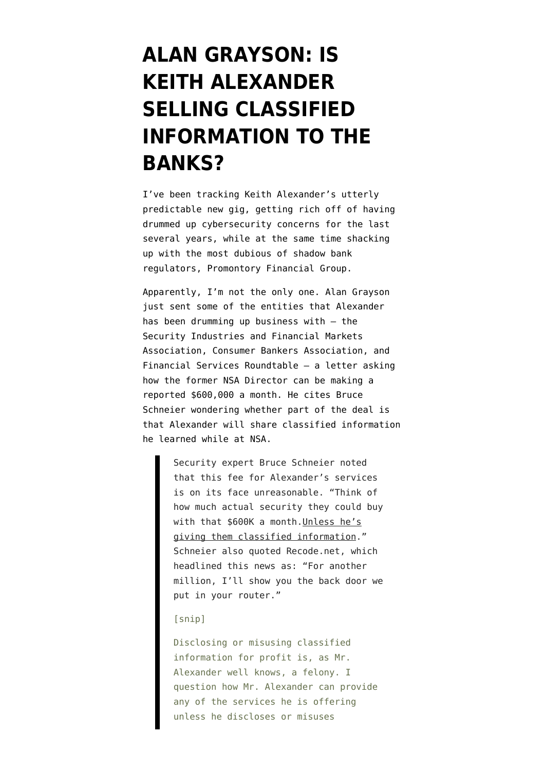## **[ALAN GRAYSON: IS](https://www.emptywheel.net/2014/06/25/alan-grayson-is-keith-alexander-selling-classified-information-to-the-banks/) [KEITH ALEXANDER](https://www.emptywheel.net/2014/06/25/alan-grayson-is-keith-alexander-selling-classified-information-to-the-banks/) [SELLING CLASSIFIED](https://www.emptywheel.net/2014/06/25/alan-grayson-is-keith-alexander-selling-classified-information-to-the-banks/) [INFORMATION TO THE](https://www.emptywheel.net/2014/06/25/alan-grayson-is-keith-alexander-selling-classified-information-to-the-banks/) [BANKS?](https://www.emptywheel.net/2014/06/25/alan-grayson-is-keith-alexander-selling-classified-information-to-the-banks/)**

I've been [tracking](http://www.emptywheel.net/2014/06/20/keith-alexander-to-earn-600000-a-month-for-preventing-ddos-attacks/) Keith Alexander's utterly predictable new gig, getting rich off of having drummed up cybersecurity concerns for the last several years, while at the same time [shacking](http://www.emptywheel.net/2014/05/08/lying-keith-alexander-to-shack-up-with-promontory-and-profit-off-his-fearmongering/) [up](http://www.emptywheel.net/2014/05/08/lying-keith-alexander-to-shack-up-with-promontory-and-profit-off-his-fearmongering/) with the most dubious of shadow bank regulators, Promontory Financial Group.

Apparently, I'm not the only one. Alan Grayson just sent some of the entities that Alexander has been drumming up business with — the Security Industries and Financial Markets Association, Consumer Bankers Association, and Financial Services Roundtable — a [letter](http://www.emptywheel.net/wp-content/uploads/2014/06/SIFMA-Alexander-letter.pdf) asking how the former NSA Director can be making a reported \$600,000 a month. He cites Bruce Schneier wondering whether part of the deal is that Alexander will share classified information he learned while at NSA.

> Security expert Bruce Schneier noted that this fee for Alexander's services is on its face unreasonable. "Think of how much actual security they could buy with that \$600K a month.Unless he's giving them classified information." Schneier also quoted Recode.net, which headlined this news as: "For another million, I'll show you the back door we put in your router."

## [snip]

Disclosing or misusing classified information for profit is, as Mr. Alexander well knows, a felony. I question how Mr. Alexander can provide any of the services he is offering unless he discloses or misuses